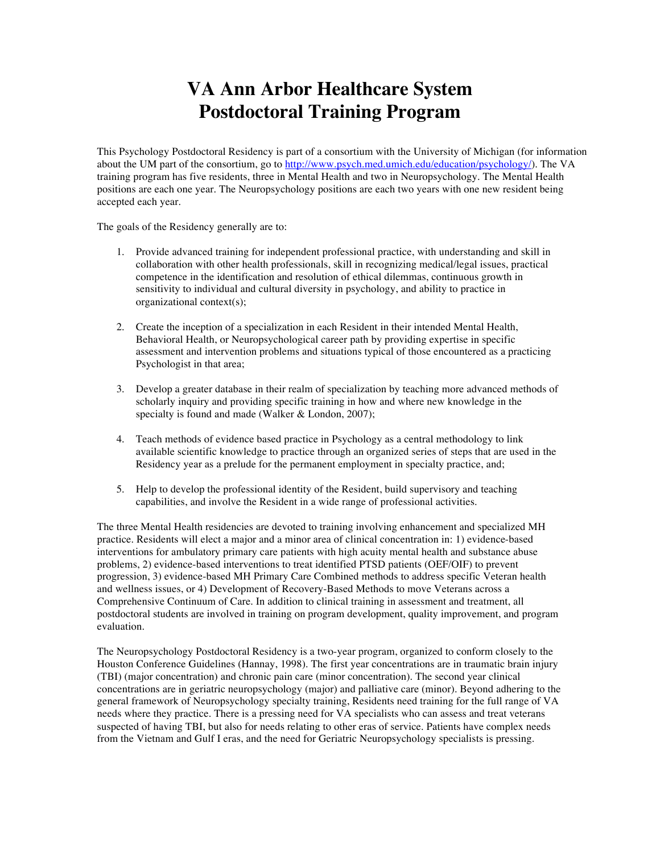## **VA Ann Arbor Healthcare System Postdoctoral Training Program**

This Psychology Postdoctoral Residency is part of a consortium with the University of Michigan (for information about the UM part of the consortium, go to http://www.psych.med.umich.edu/education/psychology/). The VA training program has five residents, three in Mental Health and two in Neuropsychology. The Mental Health positions are each one year. The Neuropsychology positions are each two years with one new resident being accepted each year.

The goals of the Residency generally are to:

- 1. Provide advanced training for independent professional practice, with understanding and skill in collaboration with other health professionals, skill in recognizing medical/legal issues, practical competence in the identification and resolution of ethical dilemmas, continuous growth in sensitivity to individual and cultural diversity in psychology, and ability to practice in organizational context(s);
- 2. Create the inception of a specialization in each Resident in their intended Mental Health, Behavioral Health, or Neuropsychological career path by providing expertise in specific assessment and intervention problems and situations typical of those encountered as a practicing Psychologist in that area;
- 3. Develop a greater database in their realm of specialization by teaching more advanced methods of scholarly inquiry and providing specific training in how and where new knowledge in the specialty is found and made (Walker & London, 2007);
- 4. Teach methods of evidence based practice in Psychology as a central methodology to link available scientific knowledge to practice through an organized series of steps that are used in the Residency year as a prelude for the permanent employment in specialty practice, and;
- 5. Help to develop the professional identity of the Resident, build supervisory and teaching capabilities, and involve the Resident in a wide range of professional activities.

The three Mental Health residencies are devoted to training involving enhancement and specialized MH practice. Residents will elect a major and a minor area of clinical concentration in: 1) evidence-based interventions for ambulatory primary care patients with high acuity mental health and substance abuse problems, 2) evidence-based interventions to treat identified PTSD patients (OEF/OIF) to prevent progression, 3) evidence-based MH Primary Care Combined methods to address specific Veteran health and wellness issues, or 4) Development of Recovery-Based Methods to move Veterans across a Comprehensive Continuum of Care. In addition to clinical training in assessment and treatment, all postdoctoral students are involved in training on program development, quality improvement, and program evaluation.

The Neuropsychology Postdoctoral Residency is a two-year program, organized to conform closely to the Houston Conference Guidelines (Hannay, 1998). The first year concentrations are in traumatic brain injury (TBI) (major concentration) and chronic pain care (minor concentration). The second year clinical concentrations are in geriatric neuropsychology (major) and palliative care (minor). Beyond adhering to the general framework of Neuropsychology specialty training, Residents need training for the full range of VA needs where they practice. There is a pressing need for VA specialists who can assess and treat veterans suspected of having TBI, but also for needs relating to other eras of service. Patients have complex needs from the Vietnam and Gulf I eras, and the need for Geriatric Neuropsychology specialists is pressing.